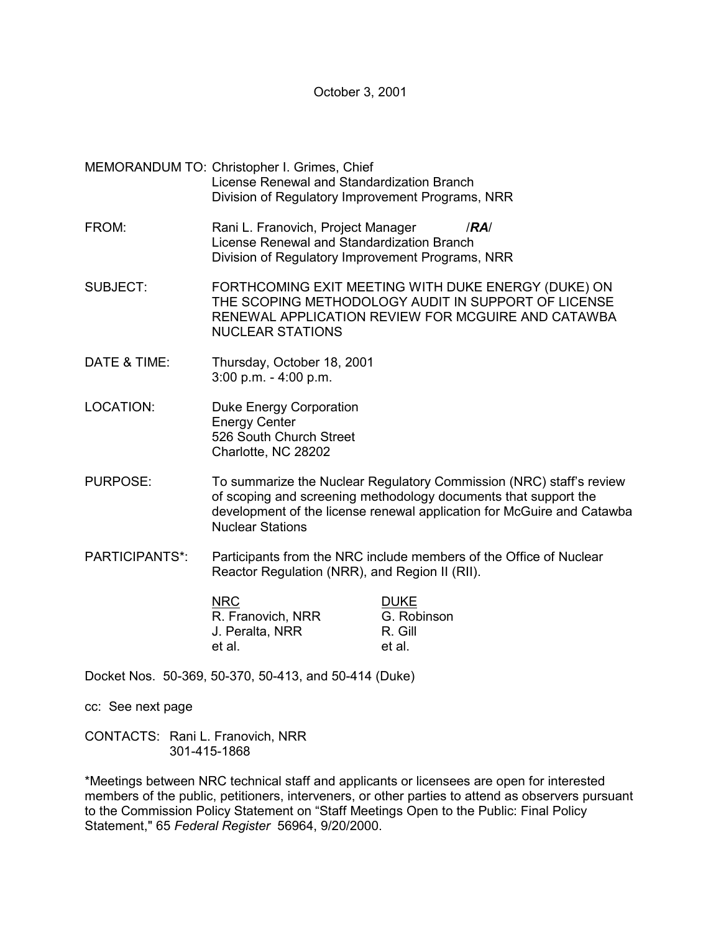October 3, 2001

- MEMORANDUM TO: Christopher I. Grimes, Chief License Renewal and Standardization Branch Division of Regulatory Improvement Programs, NRR
- FROM: Rani L. Franovich, Project Manager /*RA*/ License Renewal and Standardization Branch Division of Regulatory Improvement Programs, NRR
- SUBJECT: FORTHCOMING EXIT MEETING WITH DUKE ENERGY (DUKE) ON THE SCOPING METHODOLOGY AUDIT IN SUPPORT OF LICENSE RENEWAL APPLICATION REVIEW FOR MCGUIRE AND CATAWBA NUCLEAR STATIONS
- DATE & TIME: Thursday, October 18, 2001 3:00 p.m. - 4:00 p.m.
- LOCATION: Duke Energy Corporation Energy Center 526 South Church Street Charlotte, NC 28202
- PURPOSE: To summarize the Nuclear Regulatory Commission (NRC) staff's review of scoping and screening methodology documents that support the development of the license renewal application for McGuire and Catawba Nuclear Stations
- PARTICIPANTS\*: Participants from the NRC include members of the Office of Nuclear Reactor Regulation (NRR), and Region II (RII).

| NRC.              | <b>DUKE</b> |
|-------------------|-------------|
| R. Franovich, NRR | G. Robinson |
| J. Peralta, NRR   | R. Gill     |
| et al.            | et al.      |

Docket Nos. 50-369, 50-370, 50-413, and 50-414 (Duke)

cc: See next page

CONTACTS: Rani L. Franovich, NRR 301-415-1868

\*Meetings between NRC technical staff and applicants or licensees are open for interested members of the public, petitioners, interveners, or other parties to attend as observers pursuant to the Commission Policy Statement on "Staff Meetings Open to the Public: Final Policy Statement," 65 *Federal Register* 56964, 9/20/2000.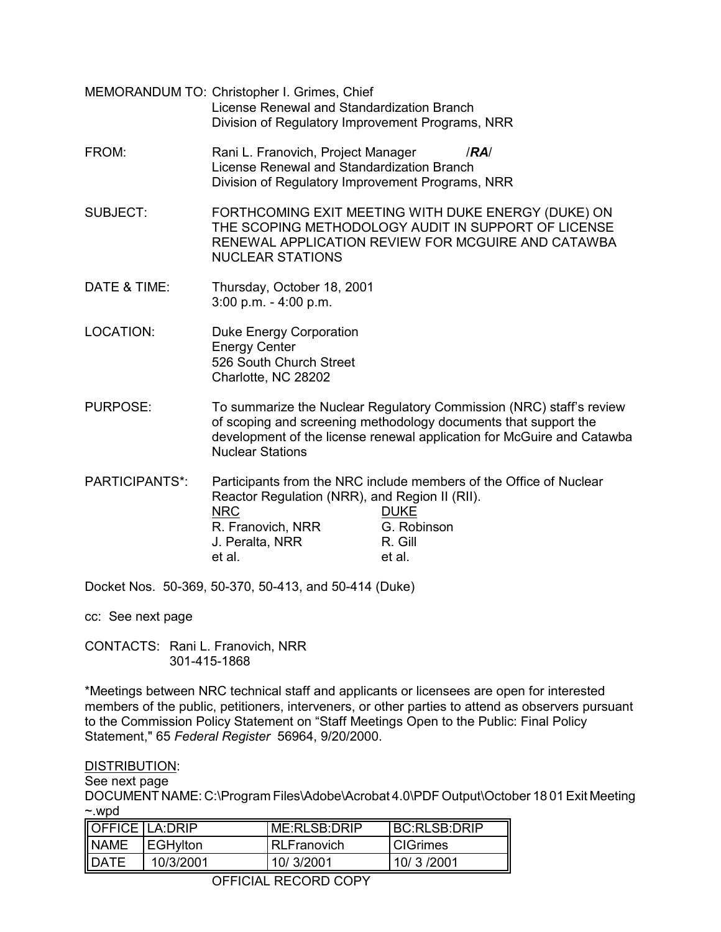- MEMORANDUM TO: Christopher I. Grimes, Chief License Renewal and Standardization Branch Division of Regulatory Improvement Programs, NRR
- FROM: Rani L. Franovich, Project Manager /*RA*/ License Renewal and Standardization Branch Division of Regulatory Improvement Programs, NRR
- SUBJECT: FORTHCOMING EXIT MEETING WITH DUKE ENERGY (DUKE) ON THE SCOPING METHODOLOGY AUDIT IN SUPPORT OF LICENSE RENEWAL APPLICATION REVIEW FOR MCGUIRE AND CATAWBA NUCLEAR STATIONS
- DATE & TIME: Thursday, October 18, 2001 3:00 p.m. - 4:00 p.m.
- LOCATION: Duke Energy Corporation Energy Center 526 South Church Street Charlotte, NC 28202
- PURPOSE: To summarize the Nuclear Regulatory Commission (NRC) staff's review of scoping and screening methodology documents that support the development of the license renewal application for McGuire and Catawba Nuclear Stations
- PARTICIPANTS\*: Participants from the NRC include members of the Office of Nuclear Reactor Regulation (NRR), and Region II (RII). NRC DUKE R. Franovich, NRR G. Robinson J. Peralta, NRR R. Gill et al. et al.

Docket Nos. 50-369, 50-370, 50-413, and 50-414 (Duke)

cc: See next page

CONTACTS: Rani L. Franovich, NRR 301-415-1868

\*Meetings between NRC technical staff and applicants or licensees are open for interested members of the public, petitioners, interveners, or other parties to attend as observers pursuant to the Commission Policy Statement on "Staff Meetings Open to the Public: Final Policy Statement," 65 *Federal Register* 56964, 9/20/2000.

## DISTRIBUTION:

See next page

DOCUMENT NAME: C:\Program Files\Adobe\Acrobat 4.0\PDF Output\October 18 01 Exit Meeting ~.wpd

| <b>OFFICE LA:DRIP</b> |                  | ME:RLSB:DRIP       | IRC:RI SR:DRIP    |
|-----------------------|------------------|--------------------|-------------------|
| <b>NAME</b>           | <b>IEGHviton</b> | <b>RLFranovich</b> | <b>I</b> CIGrimes |
| <b>IDATE</b>          | 10/3/2001        | 10/3/2001          | 10/ 3/2001        |

OFFICIAL RECORD COPY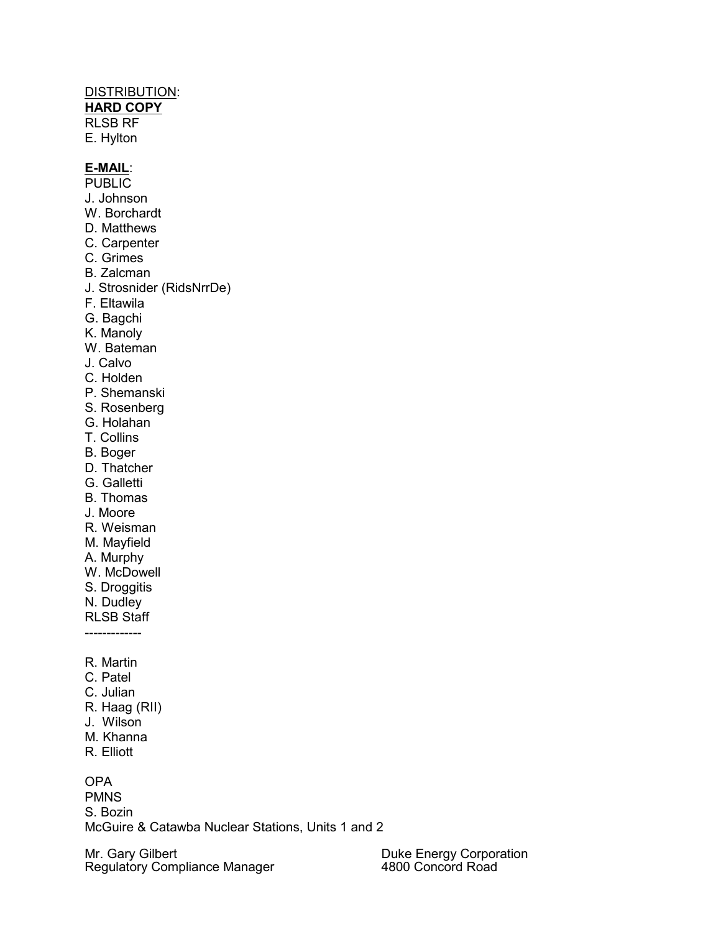## DISTRIBUTION:

**HARD COPY**

RLSB RF

E. Hylton

## **E-MAIL**:

- PUBLIC
- J. Johnson
- W. Borchardt
- D. Matthews
- C. Carpenter
- C. Grimes
- B. Zalcman
- J. Strosnider (RidsNrrDe)
- F. Eltawila
- G. Bagchi
- K. Manoly
- W. Bateman
- J. Calvo
- C. Holden
- P. Shemanski
- S. Rosenberg
- G. Holahan
- T. Collins
- B. Boger
- D. Thatcher
- G. Galletti
- B. Thomas
- J. Moore
- R. Weisman
- M. Mayfield
- A. Murphy
- W. McDowell
- S. Droggitis
- N. Dudley
- RLSB Staff
- -------------
- R. Martin
- C. Patel
- C. Julian
- R. Haag (RII)
- J. Wilson
- M. Khanna
- R. Elliott

## OPA

**PMNS** S. Bozin McGuire & Catawba Nuclear Stations, Units 1 and 2

Mr. Gary Gilbert Regulatory Compliance Manager Duke Energy Corporation 4800 Concord Road